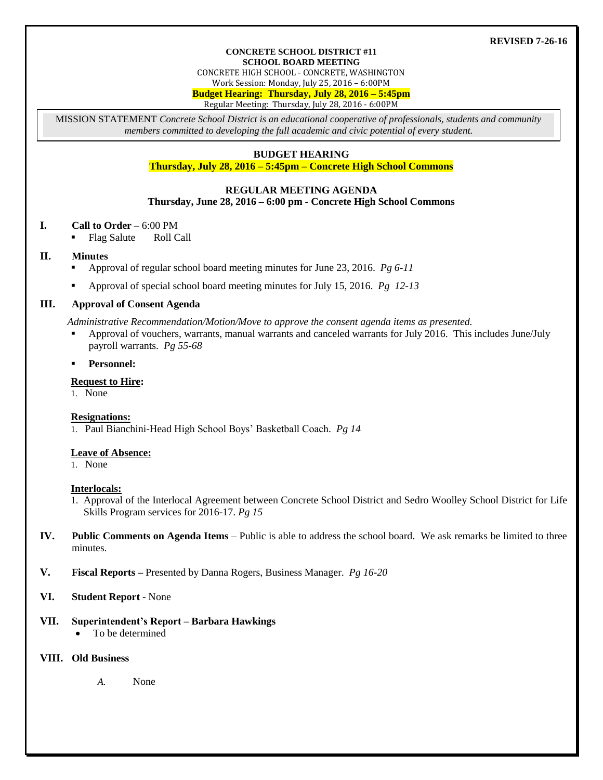#### **REVISED 7-26-16**

#### **CONCRETE SCHOOL DISTRICT #11 SCHOOL BOARD MEETING**

CONCRETE HIGH SCHOOL - CONCRETE, WASHINGTON

Work Session: Monday, July 25, 2016 – 6:00PM

**Budget Hearing: Thursday, July 28, 2016 – 5:45pm**

Regular Meeting: Thursday, July 28, 2016 - 6:00PM

MISSION STATEMENT *Concrete School District is an educational cooperative of professionals, students and community members committed to developing the full academic and civic potential of every student.*

# **BUDGET HEARING**

**Thursday, July 28, 2016 – 5:45pm – Concrete High School Commons**

#### **REGULAR MEETING AGENDA**

**Thursday, June 28, 2016 – 6:00 pm - Concrete High School Commons**

## **I. Call to Order** – 6:00 PM

Flag Salute Roll Call

#### **II. Minutes**

- Approval of regular school board meeting minutes for June 23, 2016. *Pg 6-11*
- Approval of special school board meeting minutes for July 15, 2016. *Pg 12-13*

## **III. Approval of Consent Agenda**

*Administrative Recommendation/Motion/Move to approve the consent agenda items as presented.*

- Approval of vouchers, warrants, manual warrants and canceled warrants for July 2016. This includes June/July payroll warrants. *Pg 55-68*
- **Personnel:**

## **Request to Hire:**

1. None

## **Resignations:**

1. Paul Bianchini-Head High School Boys' Basketball Coach. *Pg 14*

#### **Leave of Absence:**

1. None

#### **Interlocals:**

- 1. Approval of the Interlocal Agreement between Concrete School District and Sedro Woolley School District for Life Skills Program services for 2016-17. *Pg 15*
- **IV. Public Comments on Agenda Items** Public is able to address the school board. We ask remarks be limited to three minutes.
- **V. Fiscal Reports –** Presented by Danna Rogers, Business Manager. *Pg 16-20*

## **VI. Student Report** - None

# **VII. Superintendent's Report – Barbara Hawkings**

To be determined

# **VIII. Old Business**

*A.* None